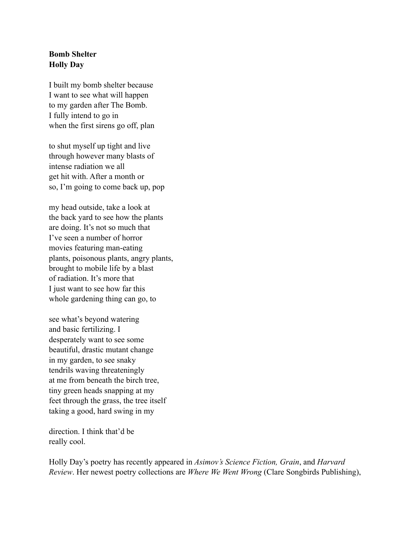## **Bomb Shelter Holly Day**

I built my bomb shelter because I want to see what will happen to my garden after The Bomb. I fully intend to go in when the first sirens go off, plan

to shut myself up tight and live through however many blasts of intense radiation we all get hit with. After a month or so, I'm going to come back up, pop

my head outside, take a look at the back yard to see how the plants are doing. It's not so much that I've seen a number of horror movies featuring man-eating plants, poisonous plants, angry plants, brought to mobile life by a blast of radiation. It's more that I just want to see how far this whole gardening thing can go, to

see what's beyond watering and basic fertilizing. I desperately want to see some beautiful, drastic mutant change in my garden, to see snaky tendrils waving threateningly at me from beneath the birch tree, tiny green heads snapping at my feet through the grass, the tree itself taking a good, hard swing in my

direction. I think that'd be really cool.

Holly Day's poetry has recently appeared in *Asimov's Science Fiction, Grain*, and *Harvard Review*. Her newest poetry collections are *Where We Went Wrong* (Clare Songbirds Publishing),